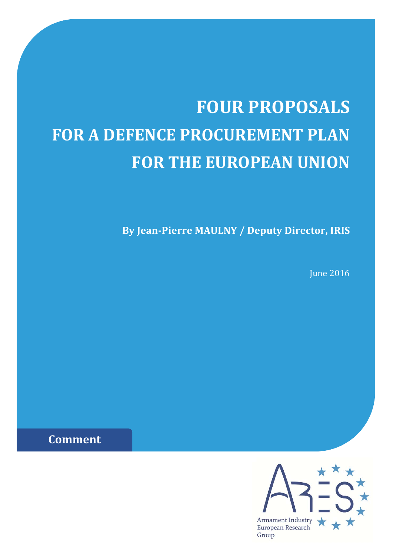# **FOUR PROPOSALS FOR A DEFENCE PROCUREMENT PLAN FOR THE EUROPEAN UNION**

**By Jean‐Pierre MAULNY / Deputy Director, IRIS**

**June 2016** 

**Comment**

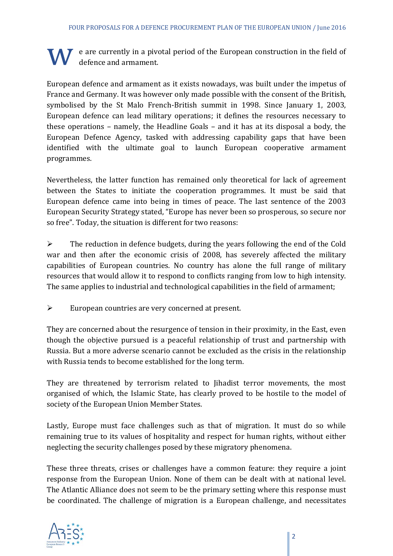$\bf{W}$  e are currently in a pivotal period of the European construction in the field of defence and armament.

European defence and armament as it exists nowadays, was built under the impetus of France and Germany. It was however only made possible with the consent of the British, symbolised by the St Malo French-British summit in 1998. Since January 1, 2003, European defence can lead military operations; it defines the resources necessary to these operations - namely, the Headline Goals - and it has at its disposal a body, the European Defence Agency, tasked with addressing capability gaps that have been identified with the ultimate goal to launch European cooperative armament programmes. 

Nevertheless, the latter function has remained only theoretical for lack of agreement between the States to initiate the cooperation programmes. It must be said that European defence came into being in times of peace. The last sentence of the 2003 European Security Strategy stated, "Europe has never been so prosperous, so secure nor so free". Today, the situation is different for two reasons:

 $\triangleright$  The reduction in defence budgets, during the years following the end of the Cold war and then after the economic crisis of 2008, has severely affected the military capabilities of European countries. No country has alone the full range of military resources that would allow it to respond to conflicts ranging from low to high intensity. The same applies to industrial and technological capabilities in the field of armament;

 $\triangleright$  European countries are very concerned at present.

They are concerned about the resurgence of tension in their proximity, in the East, even though the objective pursued is a peaceful relationship of trust and partnership with Russia. But a more adverse scenario cannot be excluded as the crisis in the relationship with Russia tends to become established for the long term.

They are threatened by terrorism related to Jihadist terror movements, the most organised of which, the Islamic State, has clearly proved to be hostile to the model of society of the European Union Member States.

Lastly, Europe must face challenges such as that of migration. It must do so while remaining true to its values of hospitality and respect for human rights, without either neglecting the security challenges posed by these migratory phenomena.

These three threats, crises or challenges have a common feature: they require a joint response from the European Union. None of them can be dealt with at national level. The Atlantic Alliance does not seem to be the primary setting where this response must be coordinated. The challenge of migration is a European challenge, and necessitates

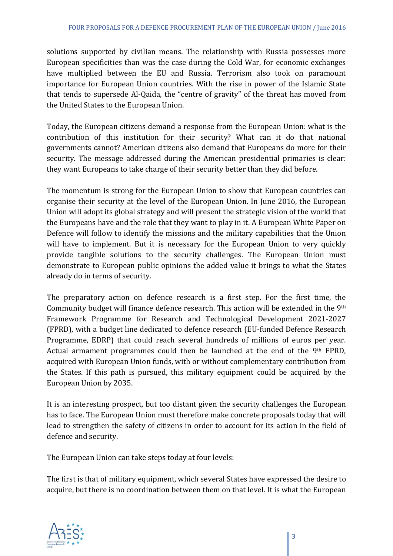solutions supported by civilian means. The relationship with Russia possesses more European specificities than was the case during the Cold War, for economic exchanges have multiplied between the EU and Russia. Terrorism also took on paramount importance for European Union countries. With the rise in power of the Islamic State that tends to supersede Al-Qaida, the "centre of gravity" of the threat has moved from the United States to the European Union.

Today, the European citizens demand a response from the European Union: what is the contribution of this institution for their security? What can it do that national governments cannot? American citizens also demand that Europeans do more for their security. The message addressed during the American presidential primaries is clear: they want Europeans to take charge of their security better than they did before.

The momentum is strong for the European Union to show that European countries can organise their security at the level of the European Union. In June 2016, the European Union will adopt its global strategy and will present the strategic vision of the world that the Europeans have and the role that they want to play in it. A European White Paper on Defence will follow to identify the missions and the military capabilities that the Union will have to implement. But it is necessary for the European Union to very quickly provide tangible solutions to the security challenges. The European Union must demonstrate to European public opinions the added value it brings to what the States already do in terms of security.

The preparatory action on defence research is a first step. For the first time, the Community budget will finance defence research. This action will be extended in the 9<sup>th</sup> Framework Programme for Research and Technological Development 2021-2027 (FPRD), with a budget line dedicated to defence research (EU‐funded Defence Research Programme, EDRP) that could reach several hundreds of millions of euros per year. Actual armament programmes could then be launched at the end of the  $9<sup>th</sup>$  FPRD, acquired with European Union funds, with or without complementary contribution from the States. If this path is pursued, this military equipment could be acquired by the European Union by 2035.

It is an interesting prospect, but too distant given the security challenges the European has to face. The European Union must therefore make concrete proposals today that will lead to strengthen the safety of citizens in order to account for its action in the field of defence and security.

The European Union can take steps today at four levels:

The first is that of military equipment, which several States have expressed the desire to acquire, but there is no coordination between them on that level. It is what the European

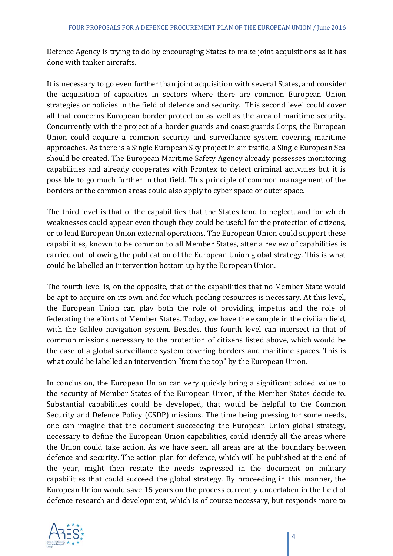Defence Agency is trying to do by encouraging States to make joint acquisitions as it has done with tanker aircrafts.

It is necessary to go even further than joint acquisition with several States, and consider the acquisition of capacities in sectors where there are common European Union strategies or policies in the field of defence and security. This second level could cover all that concerns European border protection as well as the area of maritime security. Concurrently with the project of a border guards and coast guards Corps, the European Union could acquire a common security and surveillance system covering maritime approaches. As there is a Single European Sky project in air traffic, a Single European Sea should be created. The European Maritime Safety Agency already possesses monitoring capabilities and already cooperates with Frontex to detect criminal activities but it is possible to go much further in that field. This principle of common management of the borders or the common areas could also apply to cyber space or outer space.

The third level is that of the capabilities that the States tend to neglect, and for which weaknesses could appear even though they could be useful for the protection of citizens, or to lead European Union external operations. The European Union could support these capabilities, known to be common to all Member States, after a review of capabilities is carried out following the publication of the European Union global strategy. This is what could be labelled an intervention bottom up by the European Union.

The fourth level is, on the opposite, that of the capabilities that no Member State would be apt to acquire on its own and for which pooling resources is necessary. At this level, the European Union can play both the role of providing impetus and the role of federating the efforts of Member States. Today, we have the example in the civilian field, with the Galileo navigation system. Besides, this fourth level can intersect in that of common missions necessary to the protection of citizens listed above, which would be the case of a global surveillance system covering borders and maritime spaces. This is what could be labelled an intervention "from the top" by the European Union.

In conclusion, the European Union can very quickly bring a significant added value to the security of Member States of the European Union, if the Member States decide to. Substantial capabilities could be developed, that would be helpful to the Common Security and Defence Policy (CSDP) missions. The time being pressing for some needs, one can imagine that the document succeeding the European Union global strategy, necessary to define the European Union capabilities, could identify all the areas where the Union could take action. As we have seen, all areas are at the boundary between defence and security. The action plan for defence, which will be published at the end of the year, might then restate the needs expressed in the document on military capabilities that could succeed the global strategy. By proceeding in this manner, the European Union would save 15 years on the process currently undertaken in the field of defence research and development, which is of course necessary, but responds more to

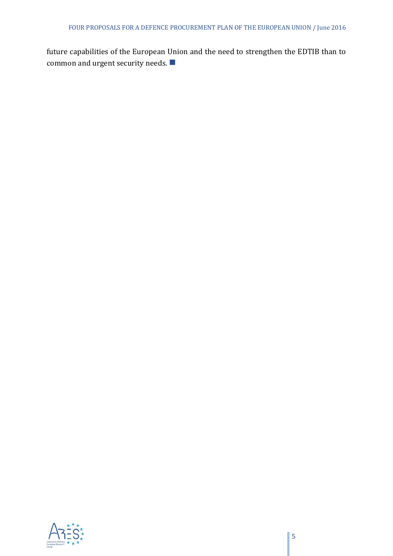future capabilities of the European Union and the need to strengthen the EDTIB than to common and urgent security needs.  $\blacksquare$